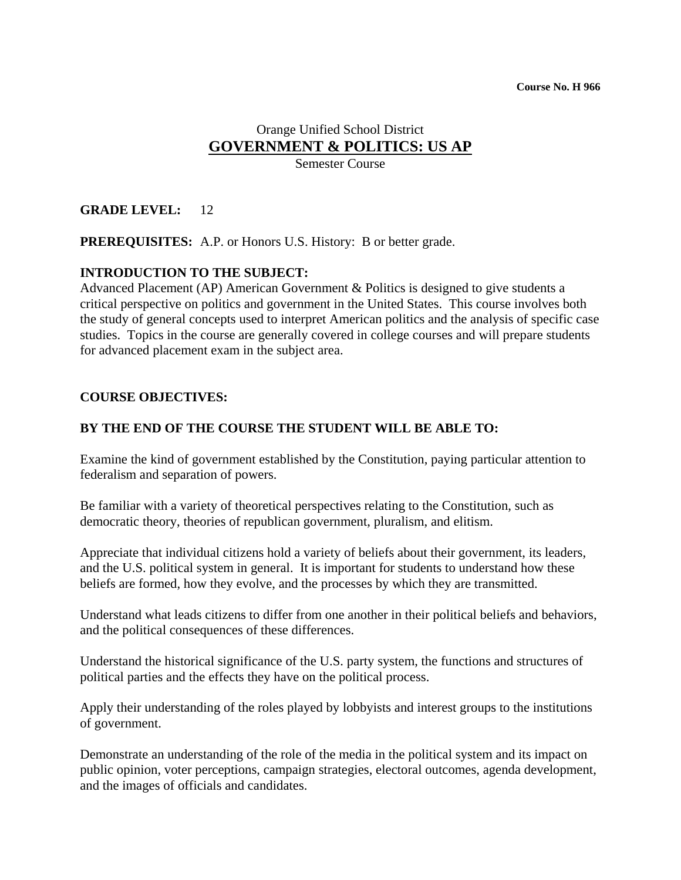#### Orange Unified School District **GOVERNMENT & POLITICS: US AP** Semester Course

## **GRADE LEVEL:** 12

**PREREQUISITES:** A.P. or Honors U.S. History: B or better grade.

## **INTRODUCTION TO THE SUBJECT:**

Advanced Placement (AP) American Government & Politics is designed to give students a critical perspective on politics and government in the United States. This course involves both the study of general concepts used to interpret American politics and the analysis of specific case studies. Topics in the course are generally covered in college courses and will prepare students for advanced placement exam in the subject area.

#### **COURSE OBJECTIVES:**

#### **BY THE END OF THE COURSE THE STUDENT WILL BE ABLE TO:**

Examine the kind of government established by the Constitution, paying particular attention to federalism and separation of powers.

Be familiar with a variety of theoretical perspectives relating to the Constitution, such as democratic theory, theories of republican government, pluralism, and elitism.

Appreciate that individual citizens hold a variety of beliefs about their government, its leaders, and the U.S. political system in general. It is important for students to understand how these beliefs are formed, how they evolve, and the processes by which they are transmitted.

Understand what leads citizens to differ from one another in their political beliefs and behaviors, and the political consequences of these differences.

Understand the historical significance of the U.S. party system, the functions and structures of political parties and the effects they have on the political process.

Apply their understanding of the roles played by lobbyists and interest groups to the institutions of government.

Demonstrate an understanding of the role of the media in the political system and its impact on public opinion, voter perceptions, campaign strategies, electoral outcomes, agenda development, and the images of officials and candidates.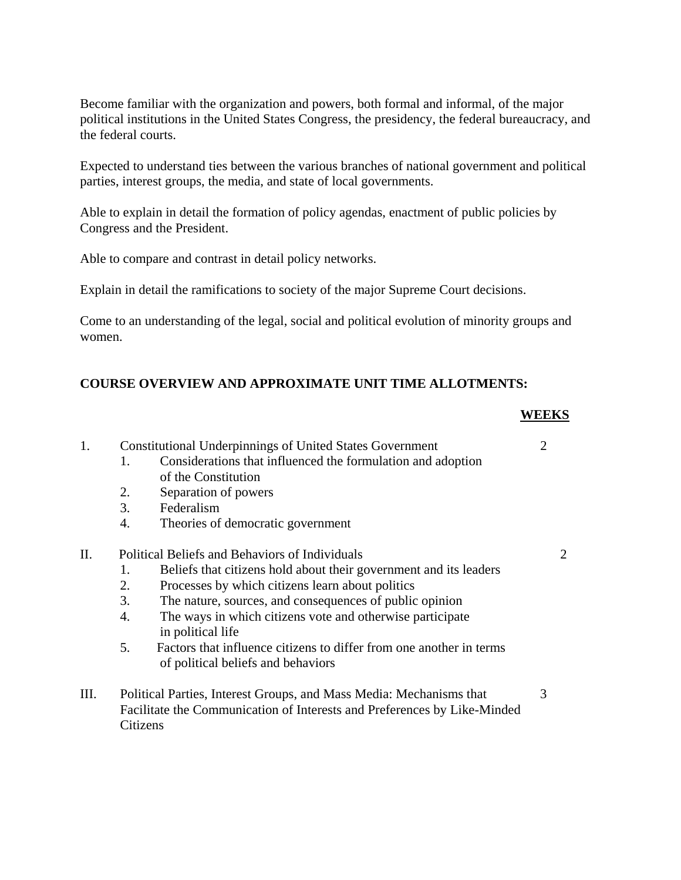Become familiar with the organization and powers, both formal and informal, of the major political institutions in the United States Congress, the presidency, the federal bureaucracy, and the federal courts.

Expected to understand ties between the various branches of national government and political parties, interest groups, the media, and state of local governments.

Able to explain in detail the formation of policy agendas, enactment of public policies by Congress and the President.

Able to compare and contrast in detail policy networks.

Explain in detail the ramifications to society of the major Supreme Court decisions.

Come to an understanding of the legal, social and political evolution of minority groups and women.

## **COURSE OVERVIEW AND APPROXIMATE UNIT TIME ALLOTMENTS:**

#### **WEEKS**

| 1. | <b>Constitutional Underpinnings of United States Government</b>          |                                                                     |  |  |  |  |
|----|--------------------------------------------------------------------------|---------------------------------------------------------------------|--|--|--|--|
|    | $1_{-}$                                                                  | Considerations that influenced the formulation and adoption         |  |  |  |  |
|    |                                                                          | of the Constitution                                                 |  |  |  |  |
|    | 2.                                                                       | Separation of powers                                                |  |  |  |  |
|    | 3.                                                                       | Federalism                                                          |  |  |  |  |
|    | 4.                                                                       | Theories of democratic government                                   |  |  |  |  |
| П. | Political Beliefs and Behaviors of Individuals                           |                                                                     |  |  |  |  |
|    | 1.                                                                       | Beliefs that citizens hold about their government and its leaders   |  |  |  |  |
|    | 2.                                                                       | Processes by which citizens learn about politics                    |  |  |  |  |
|    | 3.                                                                       | The nature, sources, and consequences of public opinion             |  |  |  |  |
|    | 4.                                                                       | The ways in which citizens vote and otherwise participate           |  |  |  |  |
|    |                                                                          | in political life                                                   |  |  |  |  |
|    | 5.                                                                       | Factors that influence citizens to differ from one another in terms |  |  |  |  |
|    |                                                                          | of political beliefs and behaviors                                  |  |  |  |  |
| Ш. | Political Parties, Interest Groups, and Mass Media: Mechanisms that      |                                                                     |  |  |  |  |
|    | Facilitate the Communication of Interests and Preferences by Like-Minded |                                                                     |  |  |  |  |
|    |                                                                          | Citizens                                                            |  |  |  |  |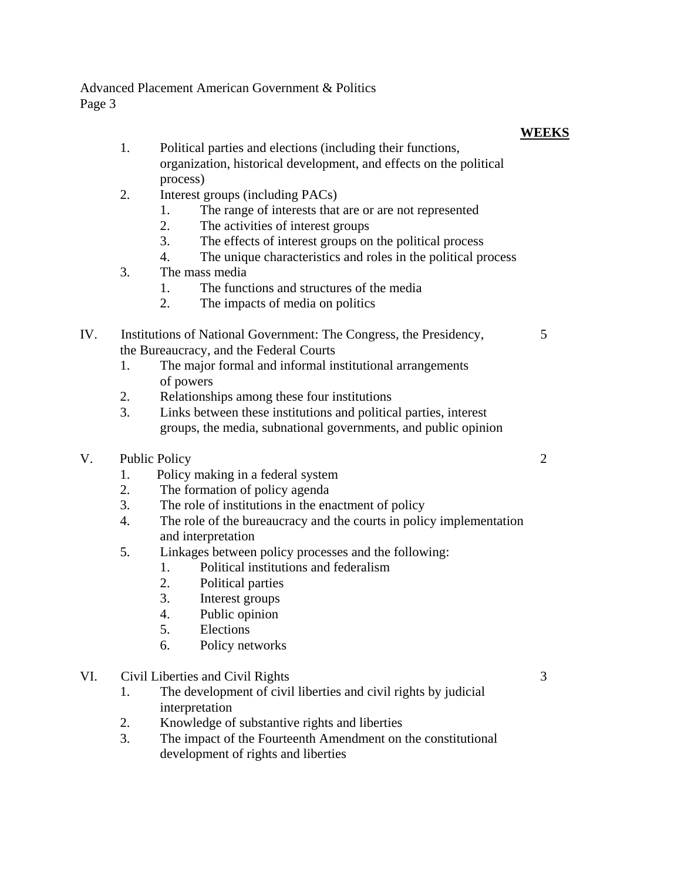# **WEEKS**

- 1. Political parties and elections (including their functions, organization, historical development, and effects on the political process)
- 2. Interest groups (including PACs)
	- 1. The range of interests that are or are not represented
	- 2. The activities of interest groups
	- 3. The effects of interest groups on the political process
	- 4. The unique characteristics and roles in the political process
- 3. The mass media
	- 1. The functions and structures of the media
	- 2. The impacts of media on politics
- IV. Institutions of National Government: The Congress, the Presidency, 5 the Bureaucracy, and the Federal Courts
	- 1. The major formal and informal institutional arrangements of powers
	- 2. Relationships among these four institutions
	- 3. Links between these institutions and political parties, interest groups, the media, subnational governments, and public opinion
- V. Public Policy 2
	- 1. Policy making in a federal system
	- 2. The formation of policy agenda
	- 3. The role of institutions in the enactment of policy
	- 4. The role of the bureaucracy and the courts in policy implementation and interpretation
	- 5. Linkages between policy processes and the following:
		- 1. Political institutions and federalism
		- 2. Political parties
		- 3. Interest groups
		- 4. Public opinion
		- 5. Elections
		- 6. Policy networks
- VI. Civil Liberties and Civil Rights 3
	- 1. The development of civil liberties and civil rights by judicial interpretation
	- 2. Knowledge of substantive rights and liberties
	- 3. The impact of the Fourteenth Amendment on the constitutional development of rights and liberties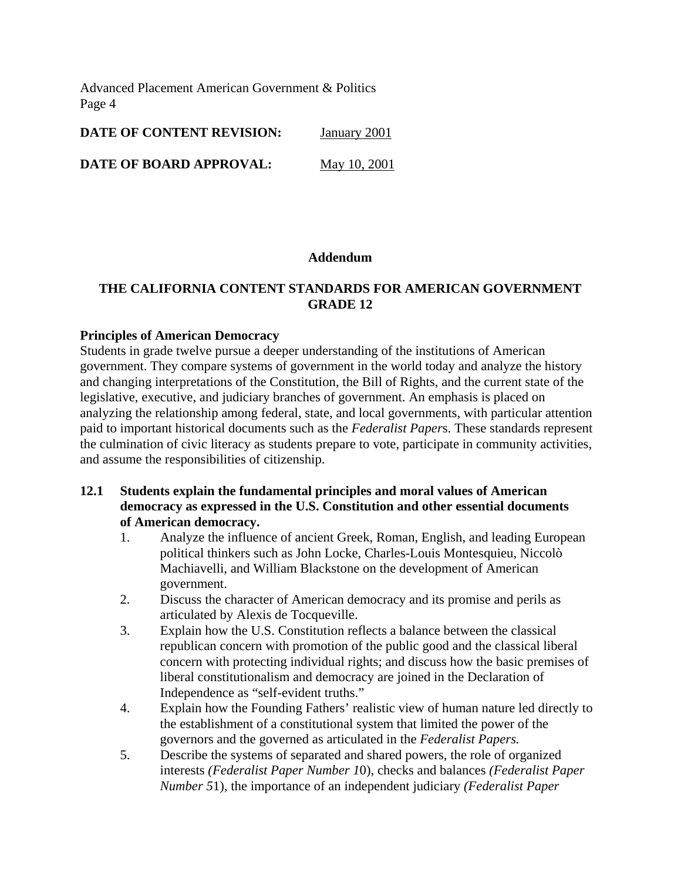|  | DATE OF CONTENT REVISION: | January 2001 |  |
|--|---------------------------|--------------|--|
|  |                           |              |  |

**DATE OF BOARD APPROVAL:** May 10, 2001

#### **Addendum**

#### **THE CALIFORNIA CONTENT STANDARDS FOR AMERICAN GOVERNMENT GRADE 12**

#### **Principles of American Democracy**

Students in grade twelve pursue a deeper understanding of the institutions of American government. They compare systems of government in the world today and analyze the history and changing interpretations of the Constitution, the Bill of Rights, and the current state of the legislative, executive, and judiciary branches of government. An emphasis is placed on analyzing the relationship among federal, state, and local governments, with particular attention paid to important historical documents such as the *Federalist Paper*s. These standards represent the culmination of civic literacy as students prepare to vote, participate in community activities, and assume the responsibilities of citizenship.

- **12.1 Students explain the fundamental principles and moral values of American democracy as expressed in the U.S. Constitution and other essential documents of American democracy.** 
	- 1. Analyze the influence of ancient Greek, Roman, English, and leading European political thinkers such as John Locke, Charles-Louis Montesquieu, Niccolò Machiavelli, and William Blackstone on the development of American government.
	- 2. Discuss the character of American democracy and its promise and perils as articulated by Alexis de Tocqueville.
	- 3. Explain how the U.S. Constitution reflects a balance between the classical republican concern with promotion of the public good and the classical liberal concern with protecting individual rights; and discuss how the basic premises of liberal constitutionalism and democracy are joined in the Declaration of Independence as "self-evident truths."
	- 4. Explain how the Founding Fathers' realistic view of human nature led directly to the establishment of a constitutional system that limited the power of the governors and the governed as articulated in the *Federalist Papers.*
	- 5. Describe the systems of separated and shared powers, the role of organized interests *(Federalist Paper Number 1*0), checks and balances *(Federalist Paper Number 5*1), the importance of an independent judiciary *(Federalist Paper*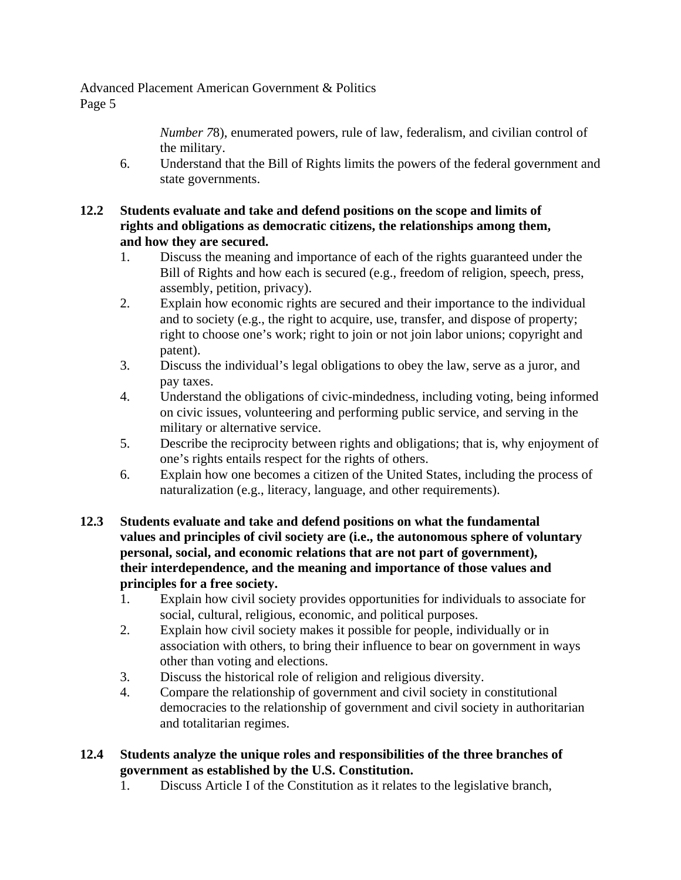> *Number 7*8), enumerated powers, rule of law, federalism, and civilian control of the military.

6. Understand that the Bill of Rights limits the powers of the federal government and state governments.

## **12.2 Students evaluate and take and defend positions on the scope and limits of rights and obligations as democratic citizens, the relationships among them, and how they are secured.**

- 1. Discuss the meaning and importance of each of the rights guaranteed under the Bill of Rights and how each is secured (e.g., freedom of religion, speech, press, assembly, petition, privacy).
- 2. Explain how economic rights are secured and their importance to the individual and to society (e.g., the right to acquire, use, transfer, and dispose of property; right to choose one's work; right to join or not join labor unions; copyright and patent).
- 3. Discuss the individual's legal obligations to obey the law, serve as a juror, and pay taxes.
- 4. Understand the obligations of civic-mindedness, including voting, being informed on civic issues, volunteering and performing public service, and serving in the military or alternative service.
- 5. Describe the reciprocity between rights and obligations; that is, why enjoyment of one's rights entails respect for the rights of others.
- 6. Explain how one becomes a citizen of the United States, including the process of naturalization (e.g., literacy, language, and other requirements).
- **12.3 Students evaluate and take and defend positions on what the fundamental values and principles of civil society are (i.e., the autonomous sphere of voluntary personal, social, and economic relations that are not part of government), their interdependence, and the meaning and importance of those values and principles for a free society.** 
	- 1. Explain how civil society provides opportunities for individuals to associate for social, cultural, religious, economic, and political purposes.
	- 2. Explain how civil society makes it possible for people, individually or in association with others, to bring their influence to bear on government in ways other than voting and elections.
	- 3. Discuss the historical role of religion and religious diversity.
	- 4. Compare the relationship of government and civil society in constitutional democracies to the relationship of government and civil society in authoritarian and totalitarian regimes.
- **12.4 Students analyze the unique roles and responsibilities of the three branches of government as established by the U.S. Constitution.** 
	- 1. Discuss Article I of the Constitution as it relates to the legislative branch,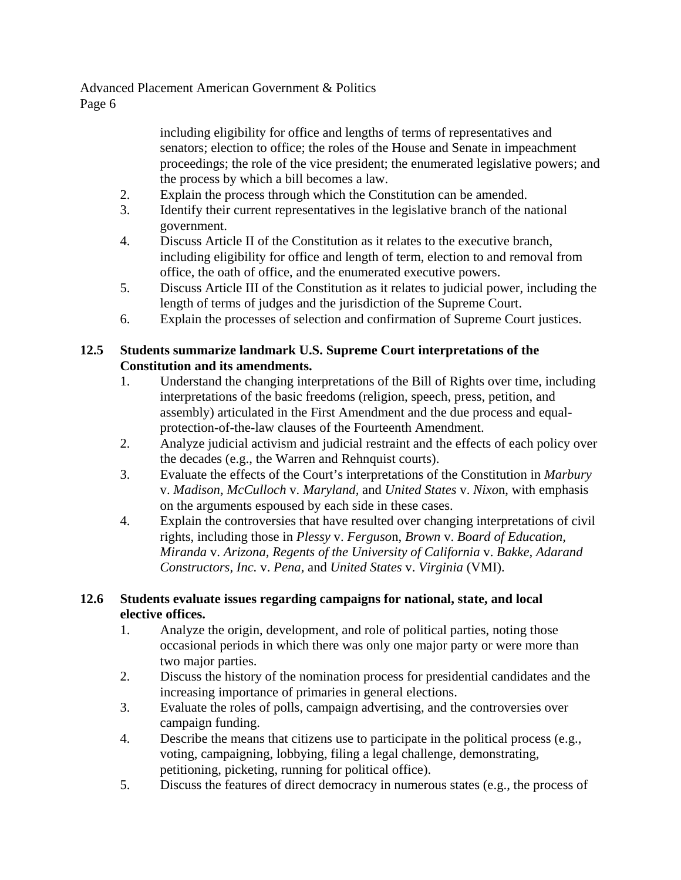> including eligibility for office and lengths of terms of representatives and senators; election to office; the roles of the House and Senate in impeachment proceedings; the role of the vice president; the enumerated legislative powers; and the process by which a bill becomes a law.

- 2. Explain the process through which the Constitution can be amended.
- 3. Identify their current representatives in the legislative branch of the national government.
- 4. Discuss Article II of the Constitution as it relates to the executive branch, including eligibility for office and length of term, election to and removal from office, the oath of office, and the enumerated executive powers.
- 5. Discuss Article III of the Constitution as it relates to judicial power, including the length of terms of judges and the jurisdiction of the Supreme Court.
- 6. Explain the processes of selection and confirmation of Supreme Court justices.

## **12.5 Students summarize landmark U.S. Supreme Court interpretations of the Constitution and its amendments.**

- 1. Understand the changing interpretations of the Bill of Rights over time, including interpretations of the basic freedoms (religion, speech, press, petition, and assembly) articulated in the First Amendment and the due process and equalprotection-of-the-law clauses of the Fourteenth Amendment.
- 2. Analyze judicial activism and judicial restraint and the effects of each policy over the decades (e.g., the Warren and Rehnquist courts).
- 3. Evaluate the effects of the Court's interpretations of the Constitution in *Marbury*  v. *Madison, McCulloch* v. *Maryland,* and *United States* v. *Nixo*n, with emphasis on the arguments espoused by each side in these cases.
- 4. Explain the controversies that have resulted over changing interpretations of civil rights, including those in *Plessy* v. *Ferguso*n, *Brown* v. *Board of Education, Miranda* v. *Arizona, Regents of the University of California* v. *Bakke, Adarand Constructors, Inc.* v. *Pena,* and *United States* v. *Virginia* (VMI).

# **12.6 Students evaluate issues regarding campaigns for national, state, and local elective offices.**

- 1. Analyze the origin, development, and role of political parties, noting those occasional periods in which there was only one major party or were more than two major parties.
- 2. Discuss the history of the nomination process for presidential candidates and the increasing importance of primaries in general elections.
- 3. Evaluate the roles of polls, campaign advertising, and the controversies over campaign funding.
- 4. Describe the means that citizens use to participate in the political process (e.g., voting, campaigning, lobbying, filing a legal challenge, demonstrating, petitioning, picketing, running for political office).
- 5. Discuss the features of direct democracy in numerous states (e.g., the process of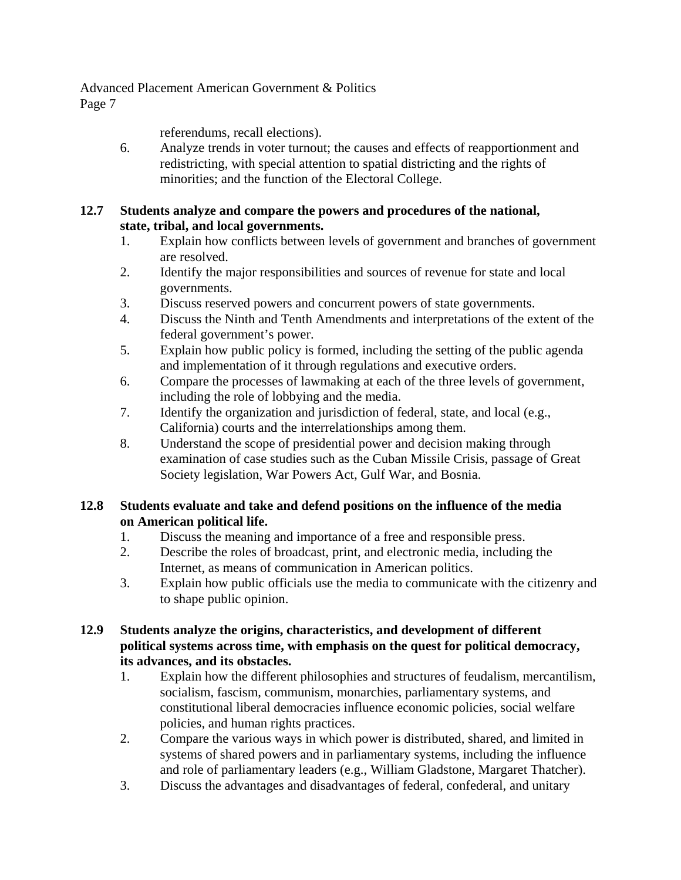referendums, recall elections).

6. Analyze trends in voter turnout; the causes and effects of reapportionment and redistricting, with special attention to spatial districting and the rights of minorities; and the function of the Electoral College.

## **12.7 Students analyze and compare the powers and procedures of the national, state, tribal, and local governments.**

- 1. Explain how conflicts between levels of government and branches of government are resolved.
- 2. Identify the major responsibilities and sources of revenue for state and local governments.
- 3. Discuss reserved powers and concurrent powers of state governments.
- 4. Discuss the Ninth and Tenth Amendments and interpretations of the extent of the federal government's power.
- 5. Explain how public policy is formed, including the setting of the public agenda and implementation of it through regulations and executive orders.
- 6. Compare the processes of lawmaking at each of the three levels of government, including the role of lobbying and the media.
- 7. Identify the organization and jurisdiction of federal, state, and local (e.g., California) courts and the interrelationships among them.
- 8. Understand the scope of presidential power and decision making through examination of case studies such as the Cuban Missile Crisis, passage of Great Society legislation, War Powers Act, Gulf War, and Bosnia.

## **12.8 Students evaluate and take and defend positions on the influence of the media on American political life.**

- 1. Discuss the meaning and importance of a free and responsible press.
- 2. Describe the roles of broadcast, print, and electronic media, including the Internet, as means of communication in American politics.
- 3. Explain how public officials use the media to communicate with the citizenry and to shape public opinion.

## **12.9 Students analyze the origins, characteristics, and development of different political systems across time, with emphasis on the quest for political democracy, its advances, and its obstacles.**

- 1. Explain how the different philosophies and structures of feudalism, mercantilism, socialism, fascism, communism, monarchies, parliamentary systems, and constitutional liberal democracies influence economic policies, social welfare policies, and human rights practices.
- 2. Compare the various ways in which power is distributed, shared, and limited in systems of shared powers and in parliamentary systems, including the influence and role of parliamentary leaders (e.g., William Gladstone, Margaret Thatcher).
- 3. Discuss the advantages and disadvantages of federal, confederal, and unitary